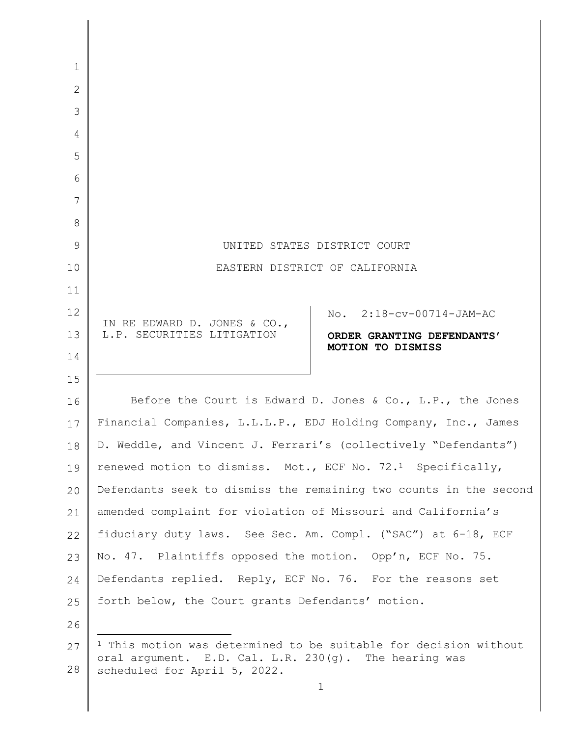| 1            |                                                                                                                                      |
|--------------|--------------------------------------------------------------------------------------------------------------------------------------|
| $\mathbf{2}$ |                                                                                                                                      |
| 3            |                                                                                                                                      |
| 4            |                                                                                                                                      |
| 5            |                                                                                                                                      |
| 6            |                                                                                                                                      |
| 7            |                                                                                                                                      |
| 8            |                                                                                                                                      |
| 9            | UNITED STATES DISTRICT COURT                                                                                                         |
| 10           | EASTERN DISTRICT OF CALIFORNIA                                                                                                       |
| 11           |                                                                                                                                      |
| 12           | 2:18-cv-00714-JAM-AC<br>No.                                                                                                          |
| 13           | IN RE EDWARD D. JONES & CO.,<br>L.P. SECURITIES LITIGATION<br>ORDER GRANTING DEFENDANTS'                                             |
| 14           | MOTION TO DISMISS                                                                                                                    |
| 15           |                                                                                                                                      |
| 16           | Before the Court is Edward D. Jones & Co., L.P., the Jones                                                                           |
| 17           | Financial Companies, L.L.L.P., EDJ Holding Company, Inc., James                                                                      |
| 18           | D. Weddle, and Vincent J. Ferrari's (collectively "Defendants")                                                                      |
| 19           | renewed motion to dismiss. Mot., ECF No. 72. <sup>1</sup> Specifically,                                                              |
| 20           | Defendants seek to dismiss the remaining two counts in the second                                                                    |
| 21           | amended complaint for violation of Missouri and California's                                                                         |
| 22           | fiduciary duty laws. See Sec. Am. Compl. ("SAC") at 6-18, ECF                                                                        |
| 23           | No. 47. Plaintiffs opposed the motion. Opp'n, ECF No. 75.                                                                            |
| 24           | Defendants replied. Reply, ECF No. 76. For the reasons set                                                                           |
| 25           | forth below, the Court grants Defendants' motion.                                                                                    |
| 26           |                                                                                                                                      |
| 27           | <sup>1</sup> This motion was determined to be suitable for decision without<br>oral argument. E.D. Cal. L.R. 230(g). The hearing was |
| 28           | scheduled for April 5, 2022.                                                                                                         |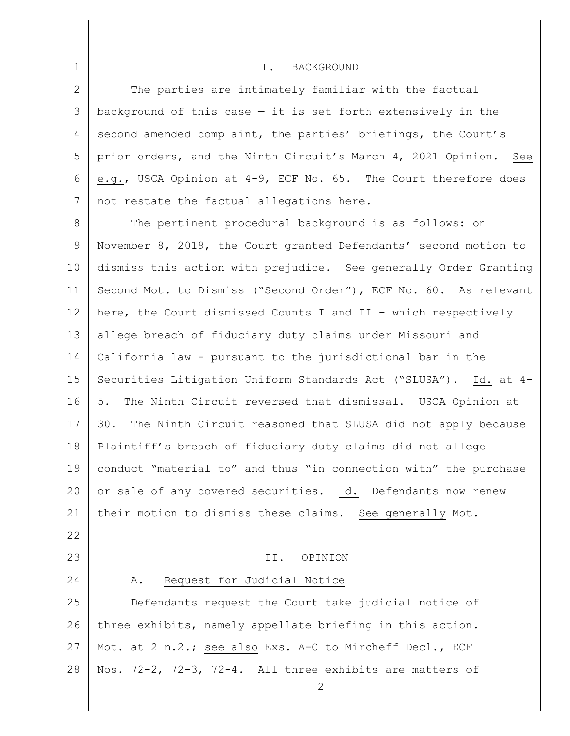## I. BACKGROUND

2 3 4 5 6 7 The parties are intimately familiar with the factual background of this case  $-$  it is set forth extensively in the second amended complaint, the parties' briefings, the Court's prior orders, and the Ninth Circuit's March 4, 2021 Opinion. See e.g., USCA Opinion at 4-9, ECF No. 65. The Court therefore does not restate the factual allegations here.

8 9 10 11 12 13 14 15 16 17 18 19 20 21 The pertinent procedural background is as follows: on November 8, 2019, the Court granted Defendants' second motion to dismiss this action with prejudice. See generally Order Granting Second Mot. to Dismiss ("Second Order"), ECF No. 60. As relevant here, the Court dismissed Counts I and II – which respectively allege breach of fiduciary duty claims under Missouri and California law - pursuant to the jurisdictional bar in the Securities Litigation Uniform Standards Act ("SLUSA"). Id. at 4- 5. The Ninth Circuit reversed that dismissal. USCA Opinion at 30. The Ninth Circuit reasoned that SLUSA did not apply because Plaintiff's breach of fiduciary duty claims did not allege conduct "material to" and thus "in connection with" the purchase or sale of any covered securities. Id. Defendants now renew their motion to dismiss these claims. See generally Mot.

22

23

24

1

## II. OPINION

#### A. Request for Judicial Notice

25 26 27 28 Defendants request the Court take judicial notice of three exhibits, namely appellate briefing in this action. Mot. at 2 n.2.; see also Exs. A-C to Mircheff Decl., ECF Nos. 72-2, 72-3, 72-4. All three exhibits are matters of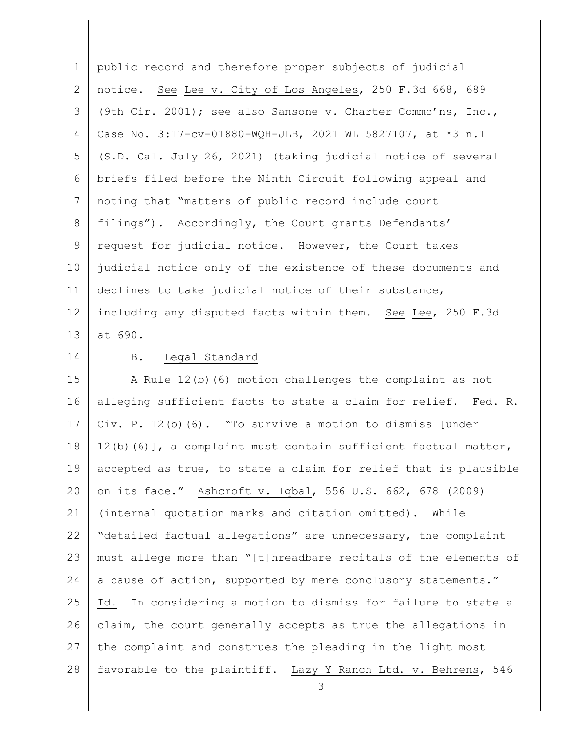1 2 3 4 5 6 7 8 9 10 11 12 13 public record and therefore proper subjects of judicial notice. See Lee v. City of Los Angeles, 250 F.3d 668, 689 (9th Cir. 2001); see also Sansone v. Charter Commc'ns, Inc., Case No. 3:17-cv-01880-WQH-JLB, 2021 WL 5827107, at \*3 n.1 (S.D. Cal. July 26, 2021) (taking judicial notice of several briefs filed before the Ninth Circuit following appeal and noting that "matters of public record include court filings"). Accordingly, the Court grants Defendants' request for judicial notice. However, the Court takes judicial notice only of the existence of these documents and declines to take judicial notice of their substance, including any disputed facts within them. See Lee, 250 F.3d at 690.

14

## B. Legal Standard

15 16 17 18 19 20 21 22 23 24 25 26 27 28 A Rule 12(b)(6) motion challenges the complaint as not alleging sufficient facts to state a claim for relief. Fed. R. Civ. P. 12(b)(6). "To survive a motion to dismiss [under  $12(b)(6)$ , a complaint must contain sufficient factual matter, accepted as true, to state a claim for relief that is plausible on its face." Ashcroft v. Iqbal, 556 U.S. 662, 678 (2009) (internal quotation marks and citation omitted). While "detailed factual allegations" are unnecessary, the complaint must allege more than "[t]hreadbare recitals of the elements of a cause of action, supported by mere conclusory statements." Id. In considering a motion to dismiss for failure to state a claim, the court generally accepts as true the allegations in the complaint and construes the pleading in the light most favorable to the plaintiff. Lazy Y Ranch Ltd. v. Behrens, 546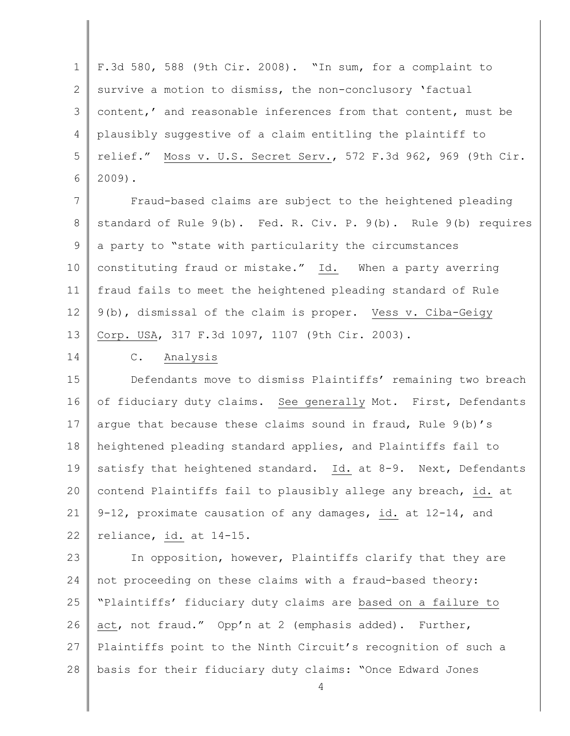1 2 3 4 5 6 F.3d 580, 588 (9th Cir. 2008). "In sum, for a complaint to survive a motion to dismiss, the non-conclusory 'factual content,' and reasonable inferences from that content, must be plausibly suggestive of a claim entitling the plaintiff to relief." Moss v. U.S. Secret Serv., 572 F.3d 962, 969 (9th Cir. 2009).

7 8 9 10 11 12 13 Fraud-based claims are subject to the heightened pleading standard of Rule 9(b). Fed. R. Civ. P. 9(b). Rule 9(b) requires a party to "state with particularity the circumstances constituting fraud or mistake." Id. When a party averring fraud fails to meet the heightened pleading standard of Rule 9(b), dismissal of the claim is proper. Vess v. Ciba-Geigy Corp. USA, 317 F.3d 1097, 1107 (9th Cir. 2003).

14

# C. Analysis

15 16 17 18 19 20 21 22 Defendants move to dismiss Plaintiffs' remaining two breach of fiduciary duty claims. See generally Mot. First, Defendants argue that because these claims sound in fraud, Rule 9(b)'s heightened pleading standard applies, and Plaintiffs fail to satisfy that heightened standard. Id. at 8-9. Next, Defendants contend Plaintiffs fail to plausibly allege any breach, id. at 9-12, proximate causation of any damages, id. at 12-14, and reliance, id. at 14-15.

23 24 25 26 27 28 In opposition, however, Plaintiffs clarify that they are not proceeding on these claims with a fraud-based theory: "Plaintiffs' fiduciary duty claims are based on a failure to act, not fraud." Opp'n at 2 (emphasis added). Further, Plaintiffs point to the Ninth Circuit's recognition of such a basis for their fiduciary duty claims: "Once Edward Jones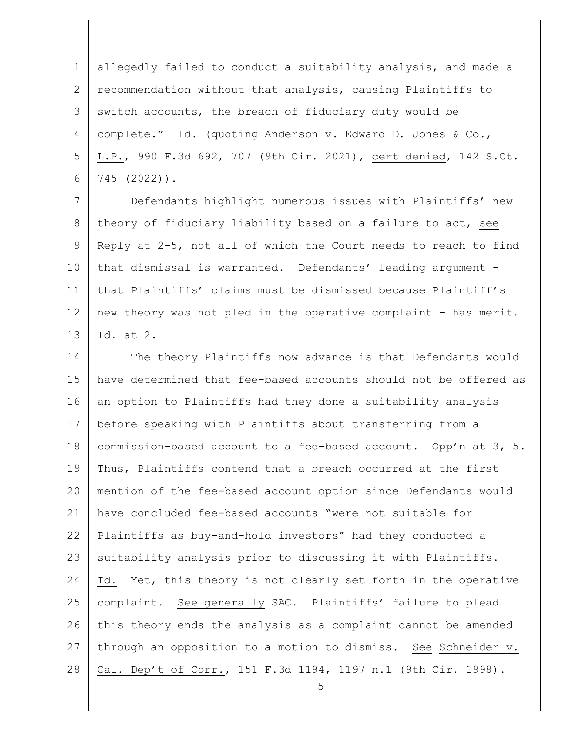1 2 3 4 5 6 allegedly failed to conduct a suitability analysis, and made a recommendation without that analysis, causing Plaintiffs to switch accounts, the breach of fiduciary duty would be complete." Id. (quoting Anderson v. Edward D. Jones & Co., L.P., 990 F.3d 692, 707 (9th Cir. 2021), cert denied, 142 S.Ct. 745 (2022)).

7 8 9 10 11 12 13 Defendants highlight numerous issues with Plaintiffs' new theory of fiduciary liability based on a failure to act, see Reply at 2-5, not all of which the Court needs to reach to find that dismissal is warranted. Defendants' leading argument that Plaintiffs' claims must be dismissed because Plaintiff's new theory was not pled in the operative complaint - has merit. Id. at 2.

14 15 16 17 18 19 20 21 22 23 24 25 26 27 28 The theory Plaintiffs now advance is that Defendants would have determined that fee-based accounts should not be offered as an option to Plaintiffs had they done a suitability analysis before speaking with Plaintiffs about transferring from a commission-based account to a fee-based account. Opp'n at 3, 5. Thus, Plaintiffs contend that a breach occurred at the first mention of the fee-based account option since Defendants would have concluded fee-based accounts "were not suitable for Plaintiffs as buy-and-hold investors" had they conducted a suitability analysis prior to discussing it with Plaintiffs. Id. Yet, this theory is not clearly set forth in the operative complaint. See generally SAC. Plaintiffs' failure to plead this theory ends the analysis as a complaint cannot be amended through an opposition to a motion to dismiss. See Schneider v. Cal. Dep't of Corr., 151 F.3d 1194, 1197 n.1 (9th Cir. 1998).